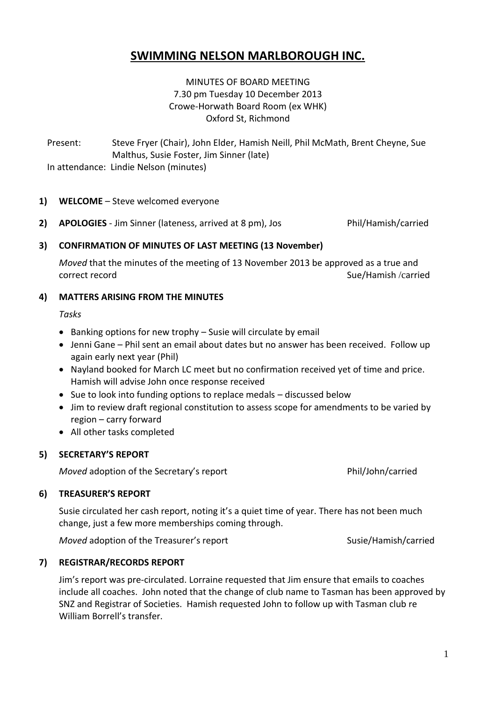# **SWIMMING NELSON MARLBOROUGH INC.**

# MINUTES OF BOARD MEETING 7.30 pm Tuesday 10 December 2013 Crowe-Horwath Board Room (ex WHK) Oxford St, Richmond

Present: Steve Fryer (Chair), John Elder, Hamish Neill, Phil McMath, Brent Cheyne, Sue Malthus, Susie Foster, Jim Sinner (late) In attendance: Lindie Nelson (minutes)

## **1) WELCOME** – Steve welcomed everyone

**2) APOLOGIES** - Jim Sinner (lateness, arrived at 8 pm), Jos Phil/Hamish/carried

## **3) CONFIRMATION OF MINUTES OF LAST MEETING (13 November)**

*Moved* that the minutes of the meeting of 13 November 2013 be approved as a true and correct record and subsets of the state of the Sue/Hamish /carried Sue/Hamish /carried

## **4) MATTERS ARISING FROM THE MINUTES**

*Tasks*

- $\bullet$  Banking options for new trophy Susie will circulate by email
- Jenni Gane Phil sent an email about dates but no answer has been received. Follow up again early next year (Phil)
- Nayland booked for March LC meet but no confirmation received yet of time and price. Hamish will advise John once response received
- Sue to look into funding options to replace medals discussed below
- Jim to review draft regional constitution to assess scope for amendments to be varied by region – carry forward
- All other tasks completed

# **5) SECRETARY'S REPORT**

*Moved* adoption of the Secretary's report Phil/John/carried

# **6) TREASURER'S REPORT**

Susie circulated her cash report, noting it's a quiet time of year. There has not been much change, just a few more memberships coming through.

*Moved* adoption of the Treasurer's report Susie/Hamish/carried

### **7) REGISTRAR/RECORDS REPORT**

Jim's report was pre-circulated. Lorraine requested that Jim ensure that emails to coaches include all coaches. John noted that the change of club name to Tasman has been approved by SNZ and Registrar of Societies. Hamish requested John to follow up with Tasman club re William Borrell's transfer.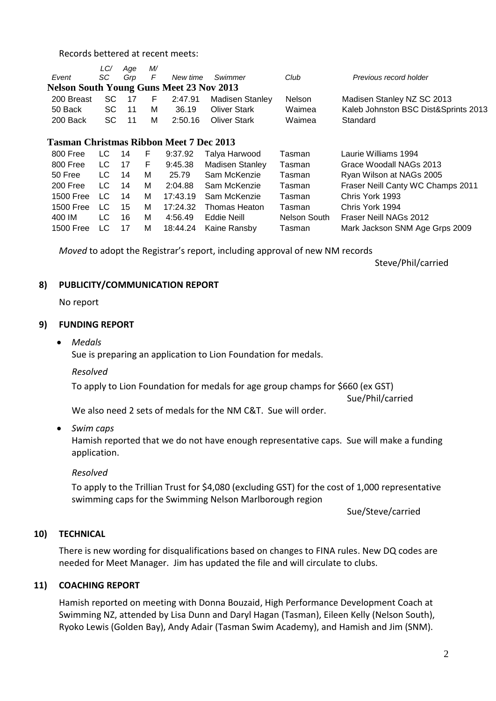Records bettered at recent meets:

|                                                 | LC/       | Age | M/ |          |                        |              |                                      |
|-------------------------------------------------|-----------|-----|----|----------|------------------------|--------------|--------------------------------------|
| Event                                           | SC        | Grp | F  | New time | Swimmer                | Club         | Previous record holder               |
| <b>Nelson South Young Guns Meet 23 Nov 2013</b> |           |     |    |          |                        |              |                                      |
| 200 Breast                                      | SC        | 17  | F  | 2:47.91  | <b>Madisen Stanley</b> | Nelson       | Madisen Stanley NZ SC 2013           |
| 50 Back                                         | <b>SC</b> | 11  | М  | 36.19    | <b>Oliver Stark</b>    | Waimea       | Kaleb Johnston BSC Dist&Sprints 2013 |
| 200 Back                                        | SC.       | 11  | М  | 2:50.16  | <b>Oliver Stark</b>    | Waimea       | Standard                             |
| <b>Tasman Christmas Ribbon Meet 7 Dec 2013</b>  |           |     |    |          |                        |              |                                      |
| 800 Free                                        | LC.       | 14  | F  | 9:37.92  | Talya Harwood          | Tasman       | Laurie Williams 1994                 |
| 800 Free                                        | LC.       | 17  | F  | 9:45.38  | <b>Madisen Stanley</b> | Tasman       | Grace Woodall NAGs 2013              |
| 50 Free                                         | LC.       | 14  | м  | 25.79    | Sam McKenzie           | Tasman       | Ryan Wilson at NAGs 2005             |
| 200 Free                                        | LC.       | 14  | м  | 2:04.88  | Sam McKenzie           | Tasman       | Fraser Neill Canty WC Champs 2011    |
| 1500 Free                                       | LC.       | 14  | м  | 17:43.19 | Sam McKenzie           | Tasman       | Chris York 1993                      |
| 1500 Free                                       | LC.       | 15  | м  | 17:24.32 | Thomas Heaton          | Tasman       | Chris York 1994                      |
| 400 IM                                          | LC.       | 16  | м  | 4:56.49  | Eddie Neill            | Nelson South | Fraser Neill NAGs 2012               |
| 1500 Free                                       | LC        | 17  | М  | 18:44.24 | Kaine Ransby           | Tasman       | Mark Jackson SNM Age Grps 2009       |
|                                                 |           |     |    |          |                        |              |                                      |

*Moved* to adopt the Registrar's report, including approval of new NM records

Steve/Phil/carried

#### **8) PUBLICITY/COMMUNICATION REPORT**

No report

#### **9) FUNDING REPORT**

*Medals*

Sue is preparing an application to Lion Foundation for medals.

*Resolved*

To apply to Lion Foundation for medals for age group champs for \$660 (ex GST)

Sue/Phil/carried

We also need 2 sets of medals for the NM C&T. Sue will order.

*Swim caps*

Hamish reported that we do not have enough representative caps. Sue will make a funding application.

*Resolved*

To apply to the Trillian Trust for \$4,080 (excluding GST) for the cost of 1,000 representative swimming caps for the Swimming Nelson Marlborough region

Sue/Steve/carried

## **10) TECHNICAL**

There is new wording for disqualifications based on changes to FINA rules. New DQ codes are needed for Meet Manager. Jim has updated the file and will circulate to clubs.

### **11) COACHING REPORT**

Hamish reported on meeting with Donna Bouzaid, High Performance Development Coach at Swimming NZ, attended by Lisa Dunn and Daryl Hagan (Tasman), Eileen Kelly (Nelson South), Ryoko Lewis (Golden Bay), Andy Adair (Tasman Swim Academy), and Hamish and Jim (SNM).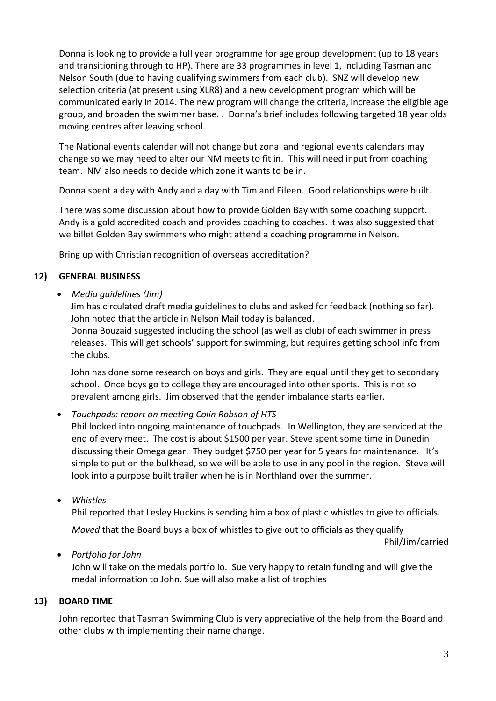Donna is looking to provide a full year programme for age group development (up to 18 years and transitioning through to HP). There are 33 programmes in level 1, including Tasman and Nelson South (due to having qualifying swimmers from each club). SNZ will develop new selection criteria (at present using XLR8) and a new development program which will be communicated early in 2014. The new program will change the criteria, increase the eligible age group, and broaden the swimmer base. . Donna's brief includes following targeted 18 year olds moving centres after leaving school.

The National events calendar will not change but zonal and regional events calendars may change so we may need to alter our NM meets to fit in. This will need input from coaching team. NM also needs to decide which zone it wants to be in.

Donna spent a day with Andy and a day with Tim and Eileen. Good relationships were built.

There was some discussion about how to provide Golden Bay with some coaching support. Andy is a gold accredited coach and provides coaching to coaches. It was also suggested that we billet Golden Bay swimmers who might attend a coaching programme in Nelson.

Bring up with Christian recognition of overseas accreditation?

# **12) GENERAL BUSINESS**

*Media guidelines (Jim)*

Jim has circulated draft media guidelines to clubs and asked for feedback (nothing so far). John noted that the article in Nelson Mail today is balanced. Donna Bouzaid suggested including the school (as well as club) of each swimmer in press releases. This will get schools' support for swimming, but requires getting school info from the clubs.

John has done some research on boys and girls. They are equal until they get to secondary school. Once boys go to college they are encouraged into other sports. This is not so prevalent among girls. Jim observed that the gender imbalance starts earlier.

*Touchpads: report on meeting Colin Robson of HTS* 

Phil looked into ongoing maintenance of touchpads. In Wellington, they are serviced at the end of every meet. The cost is about \$1500 per year. Steve spent some time in Dunedin discussing their Omega gear. They budget \$750 per year for 5 years for maintenance. It's simple to put on the bulkhead, so we will be able to use in any pool in the region. Steve will look into a purpose built trailer when he is in Northland over the summer.

*Whistles*

Phil reported that Lesley Huckins is sending him a box of plastic whistles to give to officials.

*Moved* that the Board buys a box of whistles to give out to officials as they qualify

Phil/Jim/carried

*Portfolio for John*

John will take on the medals portfolio. Sue very happy to retain funding and will give the medal information to John. Sue will also make a list of trophies

# **13) BOARD TIME**

John reported that Tasman Swimming Club is very appreciative of the help from the Board and other clubs with implementing their name change.